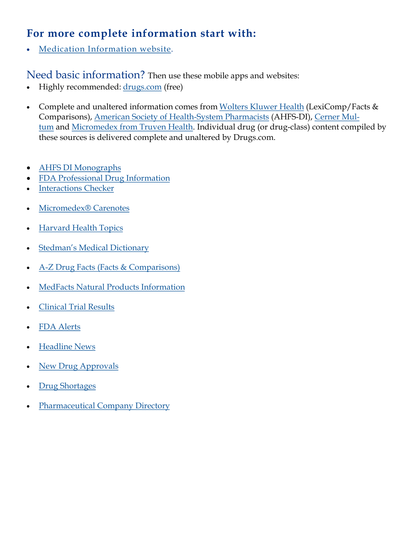# **For more complete information start with:**

[Medication Information website.](https://ronlyon.wordpress.com/)

Need basic information? Then use these mobile apps and websites:

- Highly recommended: [drugs.com](http://www.drugs.com/) (free)
- Complete and unaltered information comes from [Wolters Kluwer Health](http://www.wolterskluwerhealth.com/pages/welcome.aspx) (LexiComp/Facts & Comparisons), [American Society of Health-System Pharmacists](http://www.ashp.org/) (AHFS-DI), [Cerner Mul](http://www.multum.com/)[tum](http://www.multum.com/) and [Micromedex from Truven Health.](http://www.micromedex.com/) Individual drug (or drug-class) content compiled by these sources is delivered complete and unaltered by Drugs.com.
- [AHFS DI Monographs](https://www.drugs.com/monograph/)
- [FDA Professional Drug Information](https://www.drugs.com/pro/)
- [Interactions Checker](https://www.drugs.com/drug_interactions.html)
- [Micromedex® Carenotes](https://www.drugs.com/care_notes.html)
- [Harvard Health Topics](https://www.drugs.com/health-guide/)
- [Stedman's Medical Dictionary](https://www.drugs.com/medical_dictionary.html)
- [A-Z Drug Facts \(Facts & Comparisons\)](https://www.drugs.com/ppa/)
- [MedFacts Natural Products Information](https://www.drugs.com/npp/)
- [Clinical Trial Results](https://www.drugs.com/clinical_trials.html)
- [FDA Alerts](https://www.drugs.com/fda_alerts.html)
- [Headline News](https://www.drugs.com/news.html)
- [New Drug Approvals](https://www.drugs.com/newdrugs.html)
- [Drug Shortages](https://www.drugs.com/drug-shortages/)
- [Pharmaceutical Company Directory](https://www.drugs.com/pharmaceutical-companies.html)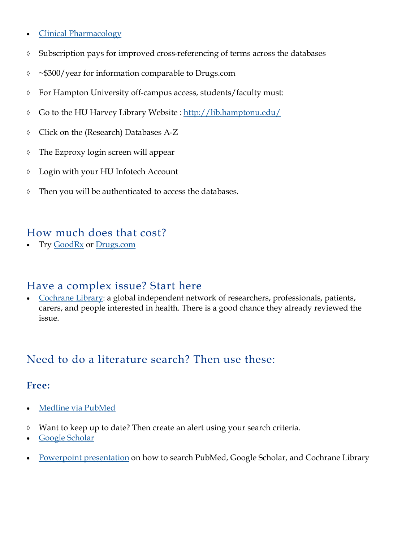- [Clinical Pharmacology](https://www.clinicalkey.com/pharmacology/)
- Subscription pays for improved cross-referencing of terms across the databases
- ~\$300/year for information comparable to Drugs.com
- For Hampton University off-campus access, students/faculty must:
- Go to the HU Harvey Library Website : <http://lib.hamptonu.edu/>
- Click on the (Research) Databases A-Z
- The Ezproxy login screen will appear
- Login with your HU Infotech Account
- Then you will be authenticated to access the databases.

### How much does that cost?

Try [GoodRx](http://www.goodrx.com/) or [Drugs.com](https://www.drugs.com/price-guide/)

## Have a complex issue? Start here

 [Cochrane Library:](http://www.cochranelibrary.com/) a global independent network of researchers, professionals, patients, carers, and people interested in health. There is a good chance they already reviewed the issue.

## Need to do a literature search? Then use these:

#### **Free:**

- [Medline via](https://scholar.google.com/) PubMed
- Want to keep up to date? Then create an alert using your search criteria.
- [Google Scholar](https://scholar.google.com/)
- [Powerpoint presentation](https://drive.google.com/open?id=0B5f-KfHxkvogUmtCYWVyRENRaDg) on how to search PubMed, Google Scholar, and Cochrane Library